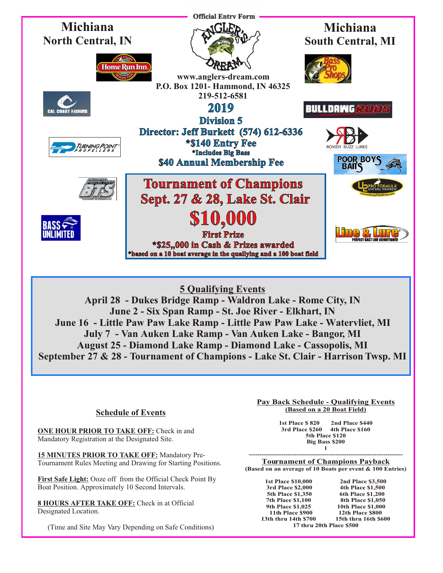

## **5 Qualifying Events**

**April 28 - Dukes Bridge Ramp - Waldron Lake - Rome City, IN June 2 - Six Span Ramp - St. Joe River - Elkhart, IN June 16 - Little Paw Paw Lake Ramp - Little Paw Paw Lake - Watervliet, MI July 7 - Van Auken Lake Ramp - Van Auken Lake - Bangor, MI August 25 - Diamond Lake Ramp - Diamond Lake - Cassopolis, MI September 27 & 28 - Tournament of Champions - Lake St. Clair - Harrison Twsp. MI**

### **Schedule of Events**

**ONE HOUR PRIOR TO TAKE OFF:** Check in and Mandatory Registration at the Designated Site.

**15 MINUTES PRIOR TO TAKE OFF:** Mandatory Pre-Tournament Rules Meeting and Drawing for Starting Positions.

**First Safe Light:** Ooze off from the Official Check Point By Boat Position. Approximately 10 Second Intervals.

**8 HOURS AFTER TAKE OFF:** Check in at Official Designated Location.

(Time and Site May Vary Depending on Safe Conditions)

#### **Pay Back Schedule - Qualifying Events (Based on a 20 Boat Field)**

**1st Place \$ 820 2nd Place \$440 3rd Place \$260 4th Place \$160 5th Place \$120 Big Bass \$200 l** 

**----------------------------------------------------------------------- Tournament of Champions Payback (Based on an average of 10 Boats per event & 100 Entries)**

**1st Place \$10,000** 2nd Place \$3,500<br> **3rd Place \$2.000** 4th Place \$1,500 **3rd Place \$2,000 4th Place \$1,500 5th Place \$1,350 6th Place \$1,200 7th Place \$1,000 8th Place \$1,050**<br>9th Place \$1,025 10th Place \$1,000 **13th thru 14th \$700** 

**9th Place \$1,025 10th Place \$1,000 11th Place \$900** 12th Place \$800<br>th thru 14th \$700 15th thru 16th \$600 **17 thru 20th Place \$500**